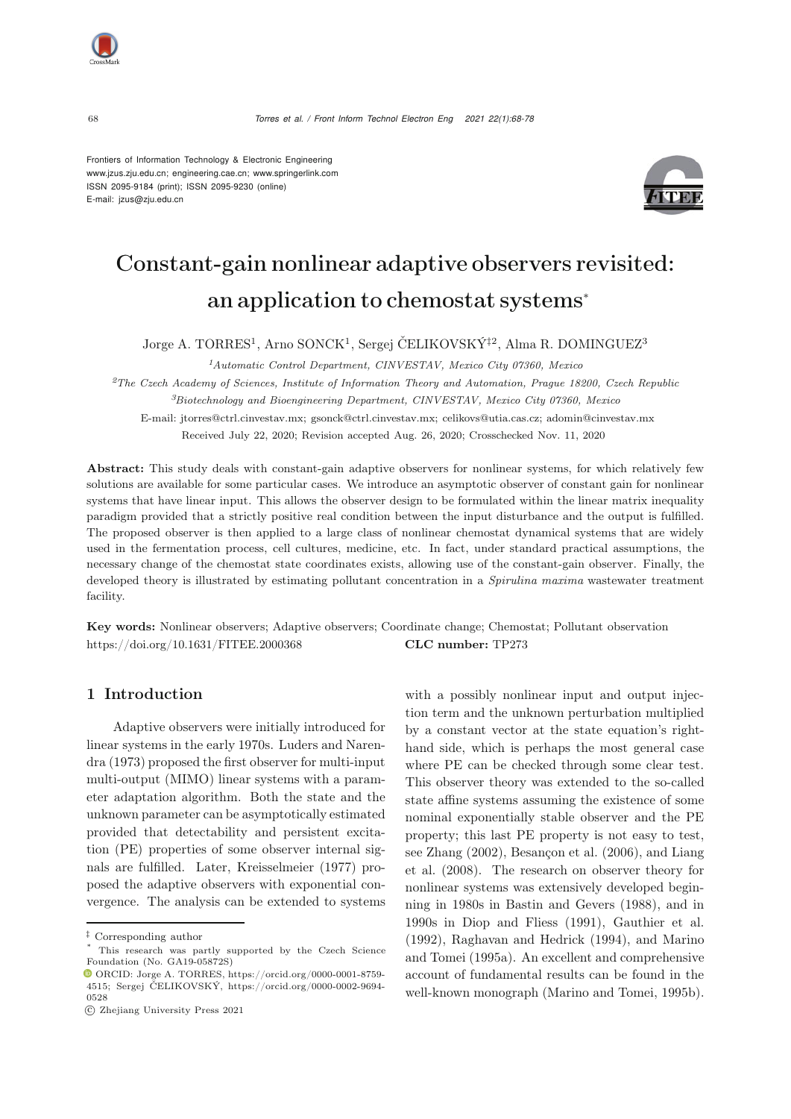<sup>68</sup> *Torres et al. / Front Inform Technol Electron Eng 2021 22(1):68-78*

Frontiers of Information Technology & Electronic Engineering [www.jzus.zju.edu.cn;](www.jzus.zju.edu.cn) [engineering.cae.cn;](engineering.cae.cn)<www.springerlink.com> ISSN 2095-9184 (print); ISSN 2095-9230 (online) E-mail: jzus@zju.edu.cn



# Constant-gain nonlinear adaptive observers revisited: an application to chemostat systems<sup>∗</sup>

Jorge A. TORRES<sup>1</sup>, Arno SONCK<sup>1</sup>, Sergej ČELIKOVSKÝ<sup>†2</sup>, Alma R. DOMINGUEZ<sup>3</sup>

*<sup>1</sup>Automatic Control Department, CINVESTAV, Mexico City 07360, Mexico*

*<sup>2</sup>The Czech Academy of Sciences, Institute of Information Theory and Automation, Prague 18200, Czech Republic <sup>3</sup>Biotechnology and Bioengineering Department, CINVESTAV, Mexico City 07360, Mexico* E-mail: jtorres@ctrl.cinvestav.mx; gsonck@ctrl.cinvestav.mx; celikovs@utia.cas.cz; adomin@cinvestav.mx

Received July 22, 2020; Revision accepted Aug. 26, 2020; Crosschecked Nov. 11, 2020

Abstract: This study deals with constant-gain adaptive observers for nonlinear systems, for which relatively few solutions are available for some particular cases. We introduce an asymptotic observer of constant gain for nonlinear systems that have linear input. This allows the observer design to be formulated within the linear matrix inequality paradigm provided that a strictly positive real condition between the input disturbance and the output is fulfilled. The proposed observer is then applied to a large class of nonlinear chemostat dynamical systems that are widely used in the fermentation process, cell cultures, medicine, etc. In fact, under standard practical assumptions, the necessary change of the chemostat state coordinates exists, allowing use of the constant-gain observer. Finally, the developed theory is illustrated by estimating pollutant concentration in a *Spirulina maxima* wastewater treatment facility.

Key words: Nonlinear observers; Adaptive observers; Coordinate change; Chemostat; Pollutant observation https://doi.org/10.1631/FITEE.2000368 CLC number: TP273

## 1 Introduction

Adaptive observers were initially introduced for lin[ear](#page-9-0) [systems](#page-9-0) [in](#page-9-0) [the](#page-9-0) [early](#page-9-0) [1970s.](#page-9-0) Luders and Narendra [\(1973\)](#page-9-0) proposed the first observer for multi-input multi-output (MIMO) linear systems with a parameter adaptation algorithm. Both the state and the unknown parameter can be asymptotically estimated provided that detectability and persistent excitation (PE) properties of some observer internal signals are fulfilled. Later, [Kreisselmeier](#page-9-1) [\(1977](#page-9-1)) proposed the adaptive observers with exponential convergence. The analysis can be extended to systems with a possibly nonlinear input and output injection term and the unknown perturbation multiplied by a constant vector at the state equation's righthand side, which is perhaps the most general case where PE can be checked through some clear test. This observer theory was extended to the so-called state affine systems assuming the existence of some nominal exponentially stable observer and the PE property; this last PE property is not easy to test, see [Zhang](#page-10-0) [\(2002](#page-10-0)[\),](#page-9-3) [Besançon et al.](#page-9-2) [\(2006](#page-9-2)[\),](#page-9-3) [and](#page-9-3) Liang et al. [\(2008](#page-9-3)). The research on observer theory for nonlinear systems was extensively developed beginning in 1980s in [Bastin and Gevers](#page-9-4) [\(1988\)](#page-9-4), and in 1990s in [Diop and Fliess](#page-9-5) [\(1991](#page-9-5)), [Gauthier et al.](#page-9-6) [\(1992](#page-9-6)), [Raghavan and Hedrick](#page-10-1) [\(1994](#page-10-1)[\),](#page-9-7) [and](#page-9-7) Marino and Tomei [\(1995a](#page-9-7)). An excellent and comprehensive account of fundamental results can be found in the well-known monograph [\(Marino and Tomei](#page-9-8), [1995b\)](#page-9-8).

*<sup>‡</sup>* Corresponding author

This research was partly supported by the Czech Science Foundation (No. GA19-05872S)

ORCID: Jorge A. TORRES, https://orcid.org/0000-0001-8759- 4515; Sergej ČELIKOVSKÝ, https://orcid.org/0000-0002-9694- 0528

c Zhejiang University Press 2021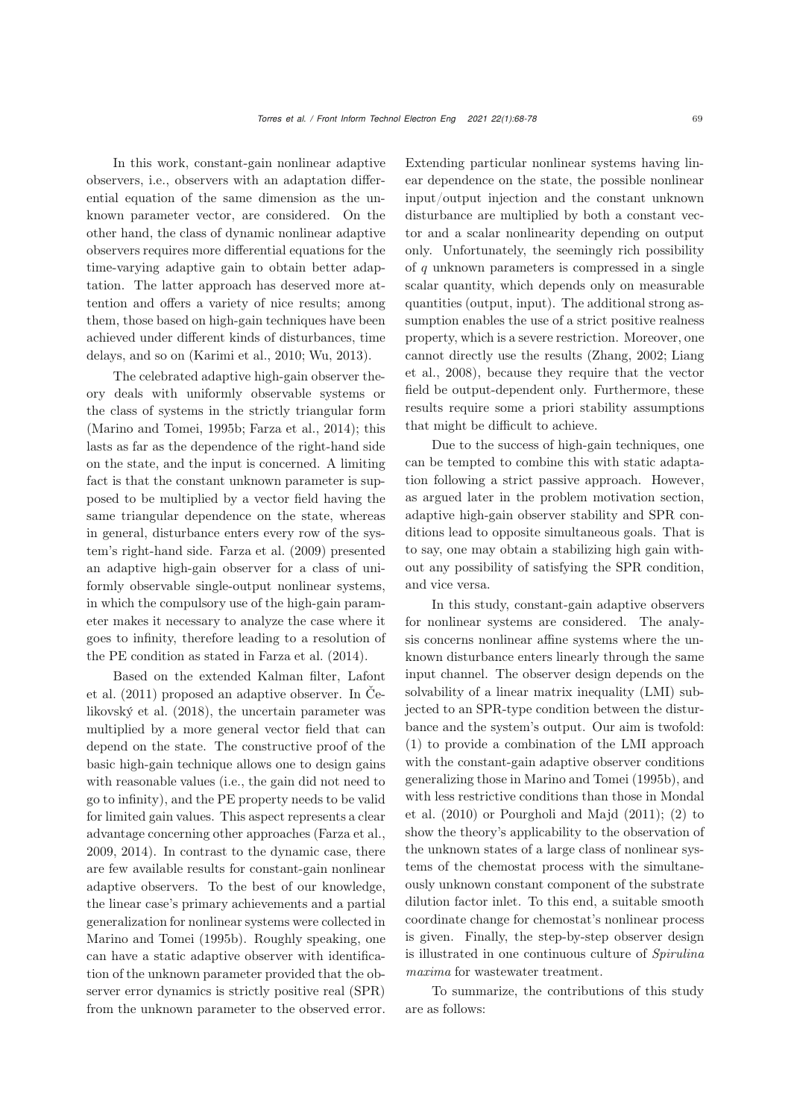In this work, constant-gain nonlinear adaptive observers, i.e., observers with an adaptation differential equation of the same dimension as the unknown parameter vector, are considered. On the other hand, the class of dynamic nonlinear adaptive observers requires more differential equations for the time-varying adaptive gain to obtain better adaptation. The latter approach has deserved more attention and offers a variety of nice results; among them, those based on high-gain techniques have been achieved under different kinds of disturbances, time delays, and so on [\(Karimi et al.](#page-9-9), [2010](#page-9-9); [Wu](#page-10-2), [2013](#page-10-2)).

The celebrated adaptive high-gain observer theory deals with uniformly observable systems or the class of systems in the strictly triangular form [\(Marino and Tomei](#page-9-8), [1995b;](#page-9-8) [Farza et al., 2014\)](#page-9-10); this lasts as far as the dependence of the right-hand side on the state, and the input is concerned. A limiting fact is that the constant unknown parameter is supposed to be multiplied by a vector field having the same triangular dependence on the state, whereas in general, disturbance enters every row of the system's right-hand side. [Farza et al.](#page-9-11) [\(2009\)](#page-9-11) presented an adaptive high-gain observer for a class of uniformly observable single-output nonlinear systems, in which the compulsory use of the high-gain parameter makes it necessary to analyze the case where it goes to infinity, therefore leading to a resolution of the PE condition as stated in [Farza et al.](#page-9-10) [\(2014](#page-9-10)).

[Based](#page-9-12) [on](#page-9-12) [the](#page-9-12) [extended](#page-9-12) [Kalman](#page-9-12) [filter,](#page-9-12) Lafont et al.  $(2011)$  [proposed](#page-9-13) [an](#page-9-13) [adaptive](#page-9-13) [observer.](#page-9-13) [In](#page-9-13) Čelikovský et al. [\(2018\)](#page-9-13), the uncertain parameter was multiplied by a more general vector field that can depend on the state. The constructive proof of the basic high-gain technique allows one to design gains with reasonable values (i.e., the gain did not need to go to infinity), and the PE property needs to be valid for limited gain values. This aspect represents a clear advantage concerning other approaches [\(Farza et al.](#page-9-11), [2009](#page-9-11), [2014](#page-9-10)). In contrast to the dynamic case, there are few available results for constant-gain nonlinear adaptive observers. To the best of our knowledge, the linear case's primary achievements and a partial generalization for nonlinear systems were collected in [Marino and Tomei](#page-9-8) [\(1995b](#page-9-8)). Roughly speaking, one can have a static adaptive observer with identification of the unknown parameter provided that the observer error dynamics is strictly positive real (SPR) from the unknown parameter to the observed error.

Extending particular nonlinear systems having linear dependence on the state, the possible nonlinear input/output injection and the constant unknown disturbance are multiplied by both a constant vector and a scalar nonlinearity depending on output only. Unfortunately, the seemingly rich possibility of  $q$  unknown parameters is compressed in a single scalar quantity, which depends only on measurable quantities (output, input). The additional strong assumption enables the use of a strict positive realness property, which is a severe restriction. Moreover, one cann[ot](#page-9-3) [directly](#page-9-3) [use](#page-9-3) [the](#page-9-3) [results](#page-9-3) [\(Zhang](#page-10-0)[,](#page-9-3) [2002](#page-10-0)[;](#page-9-3) Liang et al., [2008\)](#page-9-3), because they require that the vector field be output-dependent only. Furthermore, these results require some a priori stability assumptions that might be difficult to achieve.

Due to the success of high-gain techniques, one can be tempted to combine this with static adaptation following a strict passive approach. However, as argued later in the problem motivation section, adaptive high-gain observer stability and SPR conditions lead to opposite simultaneous goals. That is to say, one may obtain a stabilizing high gain without any possibility of satisfying the SPR condition, and vice versa.

In this study, constant-gain adaptive observers for nonlinear systems are considered. The analysis concerns nonlinear affine systems where the unknown disturbance enters linearly through the same input channel. The observer design depends on the solvability of a linear matrix inequality (LMI) subjected to an SPR-type condition between the disturbance and the system's output. Our aim is twofold: (1) to provide a combination of the LMI approach with the constant-gain adaptive observer conditions generalizing those in [Marino and Tomei](#page-9-8) [\(1995b](#page-9-8)), and with [less](#page-9-14) [restrictive](#page-9-14) [conditions](#page-9-14) [than](#page-9-14) [those](#page-9-14) [in](#page-9-14) Mondal et al. [\(2010\)](#page-9-14) or [Pourgholi and Majd](#page-10-3) [\(2011\)](#page-10-3); (2) to show the theory's applicability to the observation of the unknown states of a large class of nonlinear systems of the chemostat process with the simultaneously unknown constant component of the substrate dilution factor inlet. To this end, a suitable smooth coordinate change for chemostat's nonlinear process is given. Finally, the step-by-step observer design is illustrated in one continuous culture of *Spirulina maxima* for wastewater treatment.

To summarize, the contributions of this study are as follows: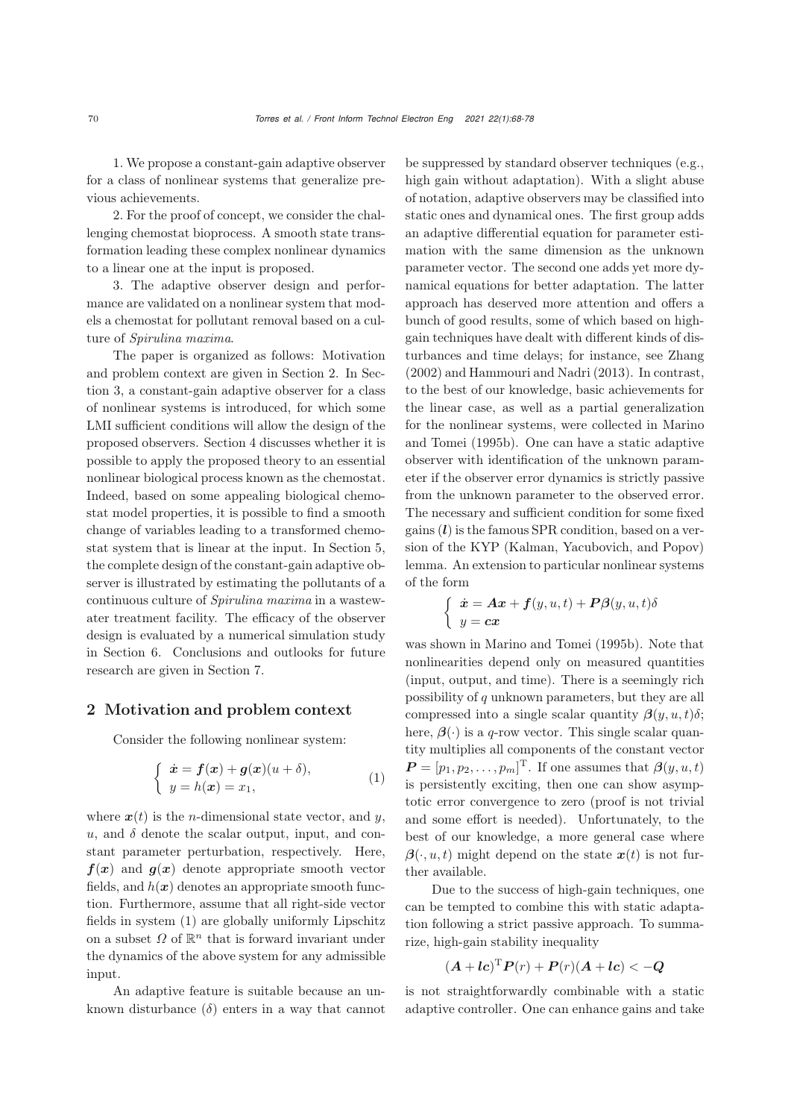1. We propose a constant-gain adaptive observer for a class of nonlinear systems that generalize previous achievements.

2. For the proof of concept, we consider the challenging chemostat bioprocess. A smooth state transformation leading these complex nonlinear dynamics to a linear one at the input is proposed.

3. The adaptive observer design and performance are validated on a nonlinear system that models a chemostat for pollutant removal based on a culture of *Spirulina maxima*.

The paper is organized as follows: Motivation and problem context are given in Section 2. In Section 3, a constant-gain adaptive observer for a class of nonlinear systems is introduced, for which some LMI sufficient conditions will allow the design of the proposed observers. Section 4 discusses whether it is possible to apply the proposed theory to an essential nonlinear biological process known as the chemostat. Indeed, based on some appealing biological chemostat model properties, it is possible to find a smooth change of variables leading to a transformed chemostat system that is linear at the input. In Section 5, the complete design of the constant-gain adaptive observer is illustrated by estimating the pollutants of a continuous culture of *Spirulina maxima* in a wastewater treatment facility. The efficacy of the observer design is evaluated by a numerical simulation study in Section 6. Conclusions and outlooks for future research are given in Section 7.

## 2 Motivation and problem context

Consider the following nonlinear system:

$$
\begin{cases}\n\dot{x} = f(x) + g(x)(u + \delta), \\
y = h(x) = x_1,\n\end{cases}
$$
\n(1)

where  $x(t)$  is the *n*-dimensional state vector, and y, u, and  $\delta$  denote the scalar output, input, and constant parameter perturbation, respectively. Here,  $f(x)$  and  $g(x)$  denote appropriate smooth vector fields, and  $h(x)$  denotes an appropriate smooth function. Furthermore, assume that all right-side vector fields in system [\(1\)](#page-2-0) are globally uniformly Lipschitz on a subset  $\Omega$  of  $\mathbb{R}^n$  that is forward invariant under the dynamics of the above system for any admissible input.

An adaptive feature is suitable because an unknown disturbance  $(\delta)$  enters in a way that cannot be suppressed by standard observer techniques (e.g., high gain without adaptation). With a slight abuse of notation, adaptive observers may be classified into static ones and dynamical ones. The first group adds an adaptive differential equation for parameter estimation with the same dimension as the unknown parameter vector. The second one adds yet more dynamical equations for better adaptation. The latter approach has deserved more attention and offers a bunch of good results, some of which based on highgain techniques have dealt with different kinds of disturbances and time delays; for instance, see [Zhang](#page-10-0) [\(2002](#page-10-0)) and [Hammouri and Nadri](#page-9-15) [\(2013\)](#page-9-15). In contrast, to the best of our knowledge, basic achievements for the linear case, as well as a partial generalization for the no[nlinear](#page-9-8) [systems,](#page-9-8) [were](#page-9-8) [collected](#page-9-8) [in](#page-9-8) Marino and Tomei [\(1995b](#page-9-8)). One can have a static adaptive observer with identification of the unknown parameter if the observer error dynamics is strictly passive from the unknown parameter to the observed error. The necessary and sufficient condition for some fixed gains (*l*) is the famous SPR condition, based on a version of the KYP (Kalman, Yacubovich, and Popov) lemma. An extension to particular nonlinear systems of the form

$$
\begin{cases} \dot{\mathbf{x}} = \mathbf{A}\mathbf{x} + \mathbf{f}(y, u, t) + \mathbf{P}\boldsymbol{\beta}(y, u, t)\delta \\ y = \mathbf{c}\mathbf{x} \end{cases}
$$

was shown in [Marino and Tomei](#page-9-8) [\(1995b\)](#page-9-8). Note that nonlinearities depend only on measured quantities (input, output, and time). There is a seemingly rich possibility of q unknown parameters, but they are all compressed into a single scalar quantity  $\beta(y, u, t)\delta$ ; here,  $\beta(\cdot)$  is a q-row vector. This single scalar quantity multiplies all components of the constant vector  $P = [p_1, p_2, \dots, p_m]^T$ . If one assumes that  $\beta(y, u, t)$ <br>is possistently evaluate than one can show asympis persistently exciting, then one can show asymptotic error convergence to zero (proof is not trivial and some effort is needed). Unfortunately, to the best of our knowledge, a more general case where  $\beta(\cdot, u, t)$  might depend on the state  $x(t)$  is not further available.

<span id="page-2-0"></span>Due to the success of high-gain techniques, one can be tempted to combine this with static adaptation following a strict passive approach. To summarize, high-gain stability inequality

$$
(\boldsymbol{A} + \boldsymbol{l} \boldsymbol{c})^{\mathrm{T}} \boldsymbol{P}(r) + \boldsymbol{P}(r)(\boldsymbol{A} + \boldsymbol{l} \boldsymbol{c}) < -\boldsymbol{Q}
$$

is not straightforwardly combinable with a static adaptive controller. One can enhance gains and take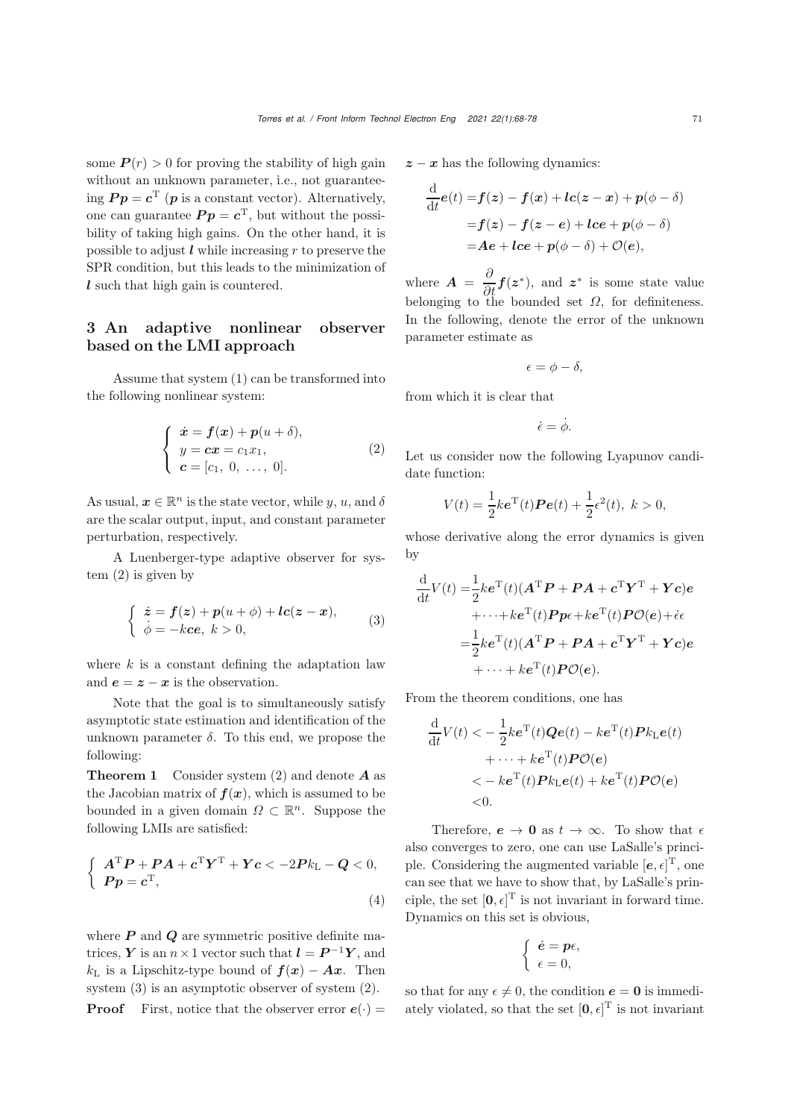some  $P(r) > 0$  for proving the stability of high gain without an unknown parameter, i.e., not guaranteeing  $P p = c^T (p$  is a constant vector). Alternatively, one can guarantee  $P p = c^{\mathrm{T}}$ , but without the possibility of taking high gains. On the other hand, it is possible to adjust  $\ell$  while increasing  $r$  to preserve the SPR condition, but this leads to the minimization of *l* such that high gain is countered.

## 3 An adaptive nonlinear observer based on the LMI approach

Assume that system [\(1\)](#page-2-0) can be transformed into the following nonlinear system:

$$
\begin{cases}\n\dot{x} = f(x) + p(u + \delta), \\
y = cx = c_1 x_1, \\
c = [c_1, 0, \dots, 0].\n\end{cases}
$$
\n(2)

As usual,  $\boldsymbol{x} \in \mathbb{R}^n$  is the state vector, while y, u, and  $\delta$ are the scalar output, input, and constant parameter perturbation, respectively.

A Luenberger-type adaptive observer for system [\(2\)](#page-3-0) is given by

$$
\begin{cases}\n\dot{z} = f(z) + p(u + \phi) + lc(z - x), \\
\dot{\phi} = -kce, \ k > 0,\n\end{cases} \tag{3}
$$

where  $k$  is a constant defining the adaptation law and  $e = z - x$  is the observation.

Note that the goal is to simultaneously satisfy asymptotic state estimation and identification of the unknown parameter  $\delta$ . To this end, we propose the following:

Theorem 1 Consider system [\(2\)](#page-3-0) and denote *A* as the Jacobian matrix of  $f(x)$ , which is assumed to be bounded in a given domain  $\Omega \subset \mathbb{R}^n$ . Suppose the following LMIs are satisfied:

$$
\begin{cases}\nA^{\mathrm{T}}P + PA + c^{\mathrm{T}}Y^{\mathrm{T}} + Yc < -2Pk_{\mathrm{L}} - Q < 0, \\
Pp = c^{\mathrm{T}},\n\end{cases} \tag{4}
$$

where *P* and *Q* are symmetric positive definite matrices, *Y* is an  $n \times 1$  vector such that  $\mathbf{l} = \mathbf{P}^{-1} \mathbf{Y}$ , and  $k_L$  is a Lipschitz-type bound of  $f(x) - Ax$ . Then system [\(3\)](#page-3-1) is an asymptotic observer of system [\(2\)](#page-3-0).

**Proof** First, notice that the observer error  $e(\cdot)$  =

 $z - x$  has the following dynamics:

$$
\frac{d}{dt}e(t) = f(z) - f(x) + lc(z - x) + p(\phi - \delta)
$$

$$
= f(z) - f(z - e) + lce + p(\phi - \delta)
$$

$$
= Ae + lce + p(\phi - \delta) + \mathcal{O}(e),
$$

where  $\mathbf{A} = \frac{\partial}{\partial t} \mathbf{f}(\mathbf{z}^*)$ , and  $\mathbf{z}^*$  is some state value belonging to the bounded set  $\Omega$ , for definiteness. In the following, denote the error of the unknown parameter estimate as

$$
\epsilon = \phi - \delta,
$$

from which it is clear that

$$
\dot{\epsilon} = \dot{\phi}.
$$

<span id="page-3-0"></span>Let us consider now the following Lyapunov candidate function:

$$
V(t) = \frac{1}{2}k\mathbf{e}^{T}(t)\boldsymbol{P}e(t) + \frac{1}{2}\epsilon^{2}(t), \ k > 0,
$$

whose derivative along the error dynamics is given by

<span id="page-3-1"></span>
$$
\frac{\mathrm{d}}{\mathrm{d}t}V(t) = \frac{1}{2}ke^{\mathrm{T}}(t)(\mathbf{A}^{\mathrm{T}}\mathbf{P} + \mathbf{P}\mathbf{A} + \mathbf{c}^{\mathrm{T}}\mathbf{Y}^{\mathrm{T}} + \mathbf{Y}\mathbf{c})\mathbf{e}
$$
\n
$$
+\cdots + ke^{\mathrm{T}}(t)\mathbf{P}p\epsilon + ke^{\mathrm{T}}(t)\mathbf{P}\mathcal{O}(\mathbf{e}) + \dot{\epsilon}\epsilon
$$
\n
$$
= \frac{1}{2}ke^{\mathrm{T}}(t)(\mathbf{A}^{\mathrm{T}}\mathbf{P} + \mathbf{P}\mathbf{A} + \mathbf{c}^{\mathrm{T}}\mathbf{Y}^{\mathrm{T}} + \mathbf{Y}\mathbf{c})\mathbf{e}
$$
\n
$$
+\cdots + ke^{\mathrm{T}}(t)\mathbf{P}\mathcal{O}(\mathbf{e}).
$$

From the theorem conditions, one has

$$
\frac{\mathrm{d}}{\mathrm{d}t}V(t) < -\frac{1}{2}ke^{\mathrm{T}}(t)\boldsymbol{Q}\boldsymbol{e}(t) - ke^{\mathrm{T}}(t)\boldsymbol{P}k_{\mathrm{L}}\boldsymbol{e}(t) \n+ \cdots + ke^{\mathrm{T}}(t)\boldsymbol{P}\mathcal{O}(\boldsymbol{e}) \n< -ke^{\mathrm{T}}(t)\boldsymbol{P}k_{\mathrm{L}}\boldsymbol{e}(t) + ke^{\mathrm{T}}(t)\boldsymbol{P}\mathcal{O}(\boldsymbol{e}) \n< 0.
$$

<span id="page-3-2"></span>Therefore,  $e \to 0$  as  $t \to \infty$ . To show that  $\epsilon$ also converges to zero, one can use LaSalle's principle. Considering the augmented variable  $[e, \epsilon]^T$ , one can see that we have to show that, by LaSalle's principle, the set  $[0, \epsilon]^T$  is not invariant in forward time. Dynamics on this set is obvious,

$$
\begin{cases} \dot{\boldsymbol{e}} = \boldsymbol{p} \epsilon, \\ \epsilon = 0, \end{cases}
$$

so that for any  $\epsilon \neq 0$ , the condition  $e = 0$  is immediately violated, so that the set  $[0, \epsilon]^T$  is not invariant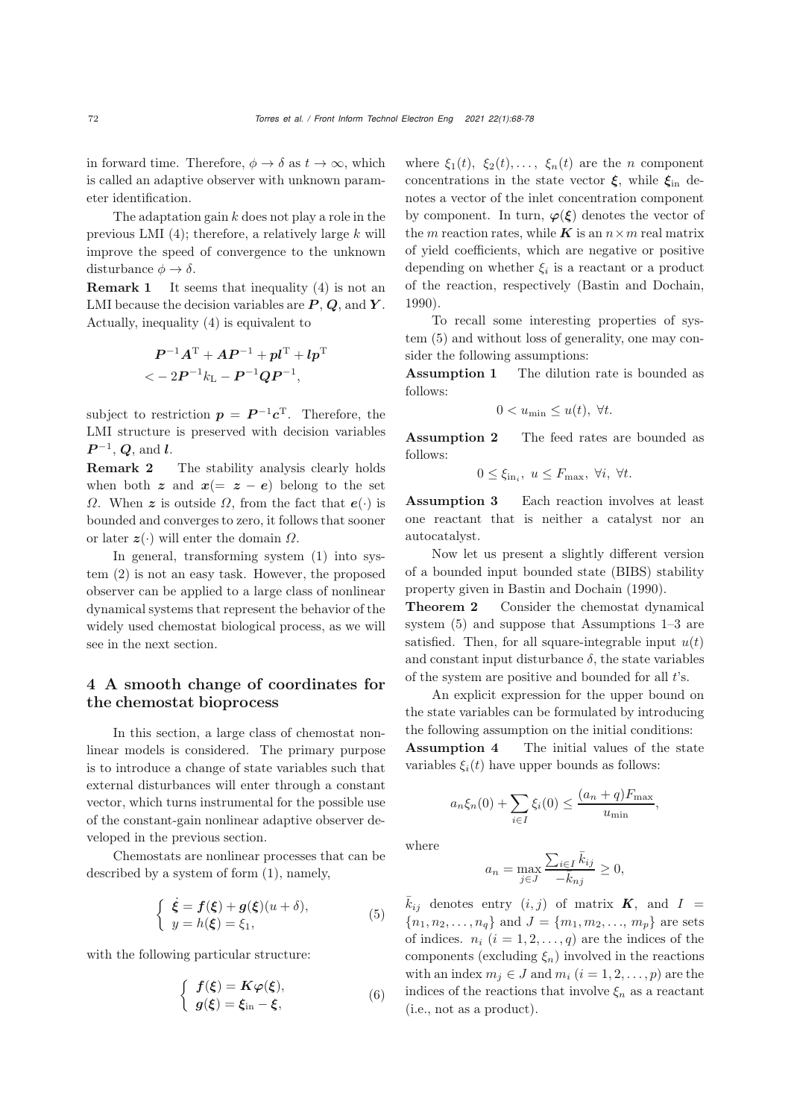in forward time. Therefore,  $\phi \to \delta$  as  $t \to \infty$ , which is called an adaptive observer with unknown parameter identification.

The adaptation gain  $k$  does not play a role in the previous LMI  $(4)$ ; therefore, a relatively large k will improve the speed of convergence to the unknown disturbance  $\phi \to \delta$ .

**Remark 1** It seems that inequality  $(4)$  is not an LMI because the decision variables are *P* , *Q*, and *Y* . Actually, inequality [\(4\)](#page-3-2) is equivalent to

$$
P^{-1}A^{T} + AP^{-1} + pl^{T} + lp^{T}
$$
  

$$
< - 2P^{-1}k_{L} - P^{-1}QP^{-1},
$$

subject to restriction  $p = P^{-1}c^{T}$ . Therefore, the LMI structure is preserved with decision variables *P*<sup>-1</sup>, *Q*, and *l*.<br>**Remark 2** 

The stability analysis clearly holds when both  $z$  and  $x (= z - e)$  belong to the set <sup>Ω</sup>. When *z* is outside <sup>Ω</sup>, from the fact that *e*(·) is bounded and converges to zero, it follows that sooner or later  $z(\cdot)$  will enter the domain  $\Omega$ .

In general, transforming system [\(1\)](#page-2-0) into system [\(2\)](#page-3-0) is not an easy task. However, the proposed observer can be applied to a large class of nonlinear dynamical systems that represent the behavior of the widely used chemostat biological process, as we will see in the next section.

## 4 A smooth change of coordinates for the chemostat bioprocess

In this section, a large class of chemostat nonlinear models is considered. The primary purpose is to introduce a change of state variables such that external disturbances will enter through a constant vector, which turns instrumental for the possible use of the constant-gain nonlinear adaptive observer developed in the previous section.

Chemostats are nonlinear processes that can be described by a system of form [\(1\)](#page-2-0), namely,

$$
\begin{cases} \n\dot{\xi} = f(\xi) + g(\xi)(u+\delta), \\ \ny = h(\xi) = \xi_1, \n\end{cases} \n\tag{5}
$$

with the following particular structure:

$$
\begin{cases}\nf(\xi) = K\varphi(\xi), \\
g(\xi) = \xi_{\rm in} - \xi,\n\end{cases}
$$
\n(6)

where  $\xi_1(t)$ ,  $\xi_2(t)$ ,...,  $\xi_n(t)$  are the *n* component concentrations in the state vector *<sup>ξ</sup>*, while *<sup>ξ</sup>*in denotes a vector of the inlet concentration component by component. In turn,  $\varphi(\xi)$  denotes the vector of the *m* reaction rates, while *K* is an  $n \times m$  real matrix of yield coefficients, which are negative or positive depending on whether  $\xi_i$  is a reactant or a product of the reaction, respectively [\(Bastin and Dochain](#page-9-16), [1990](#page-9-16)).

To recall some interesting properties of system [\(5\)](#page-4-0) and without loss of generality, one may consider the following assumptions:

Assumption 1 The dilution rate is bounded as follows:

$$
0 < u_{\min} \le u(t), \ \forall t.
$$

Assumption 2 The feed rates are bounded as follows:

$$
0 \le \xi_{\text{in}_i}, \ u \le F_{\text{max}}, \ \forall i, \ \forall t.
$$

Assumption 3 Each reaction involves at least one reactant that is neither a catalyst nor an autocatalyst.

Now let us present a slightly different version of a bounded input bounded state (BIBS) stability property given in [Bastin and Dochain](#page-9-16) [\(1990](#page-9-16)).

Theorem 2 Consider the chemostat dynamical system [\(5\)](#page-4-0) and suppose that Assumptions 1–3 are satisfied. Then, for all square-integrable input  $u(t)$ and constant input disturbance  $\delta$ , the state variables of the system are positive and bounded for all  $t$ 's.

An explicit expression for the upper bound on the state variables can be formulated by introducing the following assumption on the initial conditions: Assumption 4 The initial values of the state variables  $\xi_i(t)$  have upper bounds as follows:

$$
a_n \xi_n(0) + \sum_{i \in I} \xi_i(0) \le \frac{(a_n + q)F_{\text{max}}}{u_{\text{min}}},
$$

where

$$
a_n = \max_{j \in J} \frac{\sum_{i \in I} \bar{k}_{ij}}{-\bar{k}_{nj}} \ge 0,
$$

<span id="page-4-0"></span> $\bar{k}_{ij}$  denotes entry  $(i, j)$  of matrix  $\boldsymbol{K}$ , and  $I =$  ${n_1, n_2,..., n_q}$  and  $J = {m_1, m_2,..., m_p}$  are sets of indices.  $n_i$   $(i = 1, 2, ..., q)$  are the indices of the components (excluding  $\xi_n$ ) involved in the reactions with an index  $m_j \in J$  and  $m_i$   $(i = 1, 2, \ldots, p)$  are the indices of the reactions that involve  $\xi_n$  as a reactant (i.e., not as a product).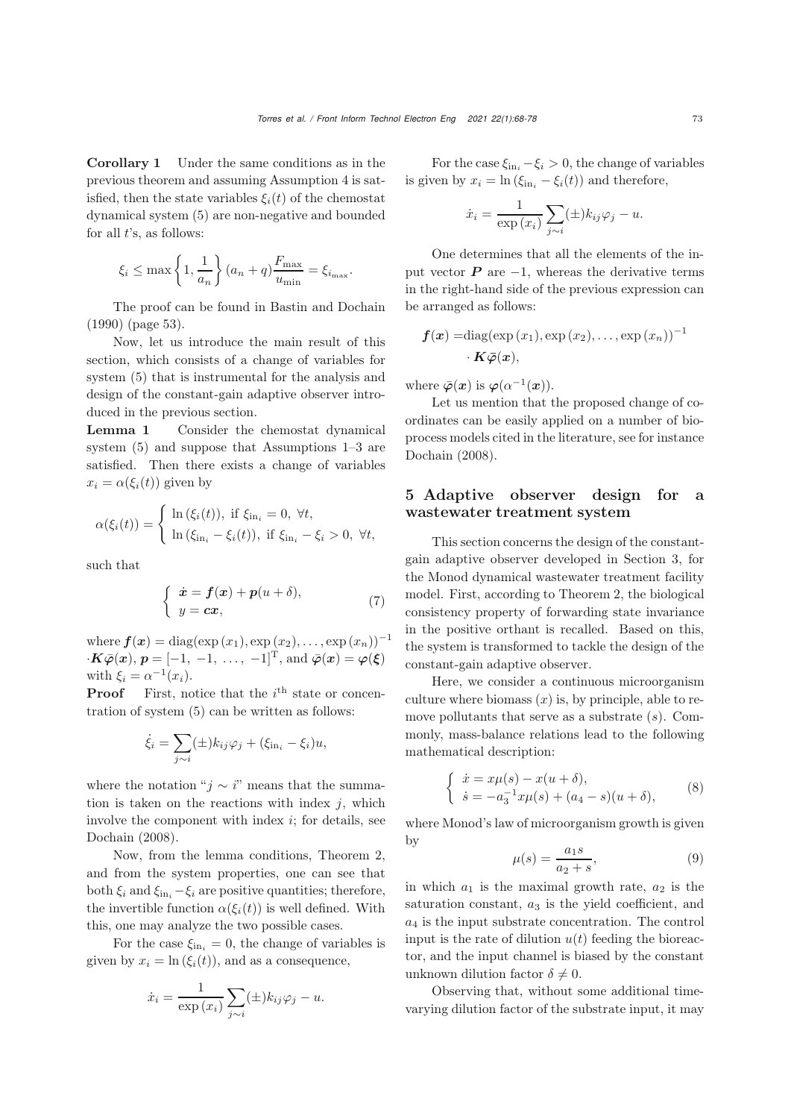Corollary 1 Under the same conditions as in the previous theorem and assuming Assumption 4 is satisfied, then the state variables  $\xi_i(t)$  of the chemostat dynamical system [\(5\)](#page-4-0) are non-negative and bounded for all  $t$ 's, as follows:

$$
\xi_i \le \max\left\{1, \frac{1}{a_n}\right\}(a_n + q) \frac{F_{\max}}{u_{\min}} = \xi_{i_{\max}}.
$$

The proof can be found in [Bastin and Dochain](#page-9-16) [\(1990](#page-9-16)) (page 53).

Now, let us introduce the main result of this section, which consists of a change of variables for system [\(5\)](#page-4-0) that is instrumental for the analysis and design of the constant-gain adaptive observer introduced in the previous section.

Lemma 1 Consider the chemostat dynamical system [\(5\)](#page-4-0) and suppose that Assumptions 1–3 are satisfied. Then there exists a change of variables  $x_i = \alpha(\xi_i(t))$  given by

$$
\alpha(\xi_i(t)) = \begin{cases} \ln(\xi_i(t)), \text{ if } \xi_{\text{in}_i} = 0, \forall t, \\ \ln(\xi_{\text{in}_i} - \xi_i(t)), \text{ if } \xi_{\text{in}_i} - \xi_i > 0, \forall t, \end{cases}
$$

such that

$$
\begin{cases} \dot{x} = f(x) + p(u+\delta), \\ y = cx, \end{cases}
$$
 (7)

where  $f(x) = diag(exp(x_1), exp(x_2),..., exp(x_n))^{-1}$  $\cdot$ *K* $\bar{\varphi}$ (*x*),  $p = [-1, -1, \ldots, -1]^{\mathrm{T}}$ , and  $\bar{\varphi}$ (*x*) =  $\varphi$ (*ξ*) with  $\xi_i = \alpha^{-1}(x_i)$ .

**Proof** First, notice that the  $i^{\text{th}}$  state or concentration of system [\(5\)](#page-4-0) can be written as follows:

$$
\dot{\xi}_i = \sum_{j \sim i} (\pm) k_{ij} \varphi_j + (\xi_{\text{in}_i} - \xi_i) u,
$$

where the notation " $j \sim i$ " means that the summation is taken on the reactions with index  $j$ , which involve the component with index  $i$ ; for details, see [Dochain](#page-9-17) [\(2008](#page-9-17)).

Now, from the lemma conditions, Theorem 2, and from the system properties, one can see that both  $\xi_i$  and  $\xi_{\text{in}_i} - \xi_i$  are positive quantities; therefore, the invertible function  $\alpha(\xi_i(t))$  is well defined. With this, one may analyze the two possible cases.

For the case  $\xi_{\text{in}_i} = 0$ , the change of variables is given by  $x_i = \ln(\xi_i(t))$ , and as a consequence,

$$
\dot{x}_i = \frac{1}{\exp(x_i)} \sum_{j \sim i} (\pm) k_{ij} \varphi_j - u.
$$

For the case  $\xi_{\text{in}_i} - \xi_i > 0$ , the change of variables is given by  $x_i = \ln (\xi_{\text{in}_i} - \xi_i(t))$  and therefore,

$$
\dot{x}_i = \frac{1}{\exp(x_i)} \sum_{j \sim i} (\pm) k_{ij} \varphi_j - u.
$$

One determines that all the elements of the input vector  $P$  are  $-1$ , whereas the derivative terms in the right-hand side of the previous expression can be arranged as follows:

$$
f(x) = diag(exp(x_1), exp(x_2),..., exp(x_n))^{-1}
$$
  
 $\cdot K\overline{\varphi}(x),$ 

where  $\bar{\varphi}(\bm{x})$  is  $\varphi(\alpha^{-1}(\bm{x}))$ .

Let us mention that the proposed change of coordinates can be easily applied on a number of bioprocess models cited in the literature, see for instance [Dochain](#page-9-17) [\(2008\)](#page-9-17).

## 5 Adaptive observer design for a wastewater treatment system

This section concerns the design of the constantgain adaptive observer developed in Section 3, for the Monod dynamical wastewater treatment facility model. First, according to Theorem 2, the biological consistency property of forwarding state invariance in the positive orthant is recalled. Based on this, the system is transformed to tackle the design of the constant-gain adaptive observer.

Here, we consider a continuous microorganism culture where biomass  $(x)$  is, by principle, able to remove pollutants that serve as a substrate  $(s)$ . Commonly, mass-balance relations lead to the following mathematical description:

$$
\begin{cases} \n\dot{x} = x\mu(s) - x(u+\delta), \\ \n\dot{s} = -a_3^{-1}x\mu(s) + (a_4 - s)(u+\delta), \n\end{cases} \n(8)
$$

where Monod's law of microorganism growth is given by

<span id="page-5-0"></span>
$$
\mu(s) = \frac{a_1 s}{a_2 + s},\tag{9}
$$

in which  $a_1$  is the maximal growth rate,  $a_2$  is the saturation constant,  $a_3$  is the yield coefficient, and  $a_4$  is the input substrate concentration. The control input is the rate of dilution  $u(t)$  feeding the bioreactor, and the input channel is biased by the constant unknown dilution factor  $\delta \neq 0$ .

Observing that, without some additional timevarying dilution factor of the substrate input, it may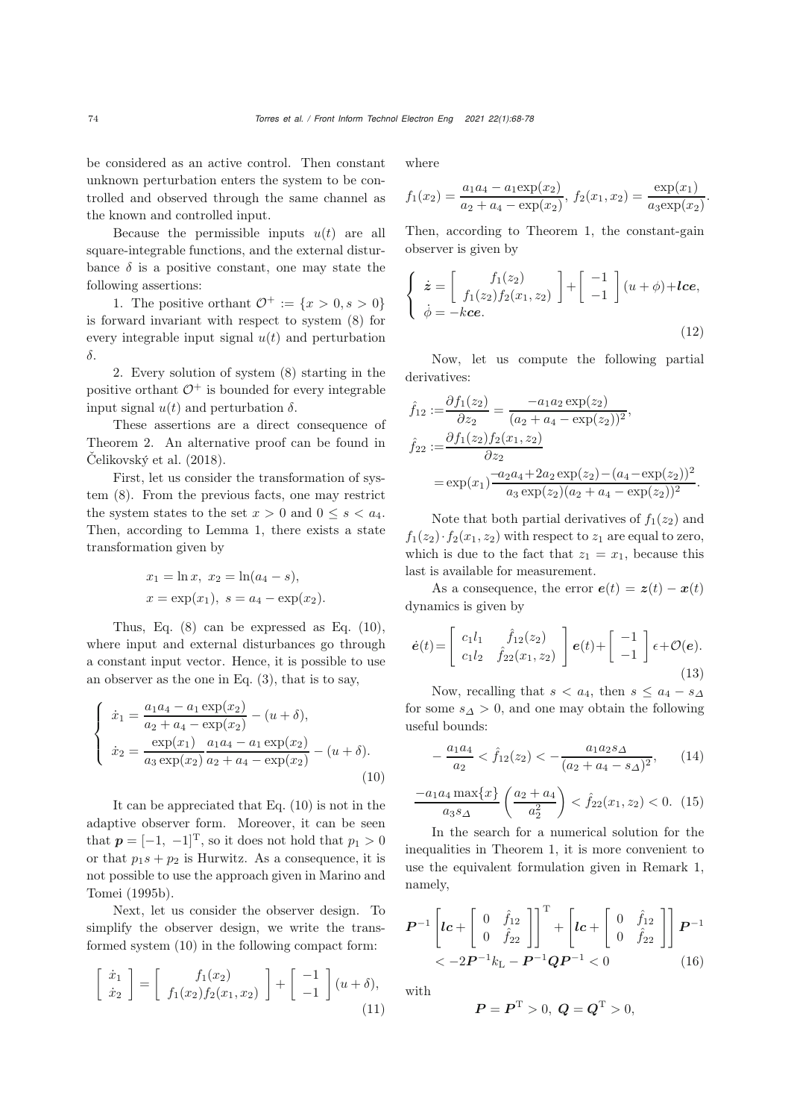be considered as an active control. Then constant unknown perturbation enters the system to be controlled and observed through the same channel as the known and controlled input.

Because the permissible inputs  $u(t)$  are all square-integrable functions, and the external disturbance  $\delta$  is a positive constant, one may state the following assertions:

1. The positive orthant  $\mathcal{O}^+ := \{x > 0, s > 0\}$ is forward invariant with respect to system [\(8\)](#page-5-0) for every integrable input signal  $u(t)$  and perturbation δ.

2. Every solution of system [\(8\)](#page-5-0) starting in the positive orthant  $\mathcal{O}^+$  is bounded for every integrable input signal  $u(t)$  and perturbation  $\delta$ .

These assertions are a direct consequence of Theorem 2. An alternative proof can be found in [Čelikovský et al.](#page-9-13) [\(2018\)](#page-9-13).

First, let us consider the transformation of system (8). From the previous facts, one may restrict the system states to the set  $x > 0$  and  $0 \leq s < a_4$ . Then, according to Lemma 1, there exists a state transformation given by

$$
x_1 = \ln x, x_2 = \ln(a_4 - s),
$$
  
\n $x = \exp(x_1), s = a_4 - \exp(x_2).$ 

Thus, Eq.  $(8)$  can be expressed as Eq.  $(10)$ , where input and external disturbances go through a constant input vector. Hence, it is possible to use an observer as the one in Eq. [\(3\)](#page-3-1), that is to say,

$$
\begin{cases}\n\dot{x}_1 = \frac{a_1 a_4 - a_1 \exp(x_2)}{a_2 + a_4 - \exp(x_2)} - (u + \delta), \\
\dot{x}_2 = \frac{\exp(x_1)}{a_3 \exp(x_2)} \frac{a_1 a_4 - a_1 \exp(x_2)}{a_2 + a_4 - \exp(x_2)} - (u + \delta).\n\end{cases}
$$
\n(10)

It can be appreciated that Eq. [\(10\)](#page-6-0) is not in the adaptive observer form. Moreover, it can be seen that  $p = [-1, -1]^T$ , so it does not hold that  $p_1 > 0$ or that  $p_1s + p_2$  is Hurwitz. As a consequence, it is not p[ossible](#page-9-8) [to](#page-9-8) [use](#page-9-8) [the](#page-9-8) [approach](#page-9-8) [given](#page-9-8) [in](#page-9-8) Marino and Tomei [\(1995b\)](#page-9-8).

Next, let us consider the observer design. To simplify the observer design, we write the transformed system [\(10\)](#page-6-0) in the following compact form:

$$
\begin{bmatrix} \dot{x}_1 \\ \dot{x}_2 \end{bmatrix} = \begin{bmatrix} f_1(x_2) \\ f_1(x_2)f_2(x_1, x_2) \end{bmatrix} + \begin{bmatrix} -1 \\ -1 \end{bmatrix} (u + \delta), \tag{11}
$$

where

$$
f_1(x_2) = \frac{a_1a_4 - a_1 \exp(x_2)}{a_2 + a_4 - \exp(x_2)}, \ f_2(x_1, x_2) = \frac{\exp(x_1)}{a_3 \exp(x_2)}.
$$

Then, according to Theorem 1, the constant-gain observer is given by

$$
\begin{cases}\n\dot{z} = \begin{bmatrix} f_1(z_2) \\ f_1(z_2) f_2(x_1, z_2) \end{bmatrix} + \begin{bmatrix} -1 \\ -1 \end{bmatrix} (u + \phi) + lce, \\
\dot{\phi} = -kce.\n\end{cases}
$$
\n(12)

<span id="page-6-2"></span>Now, let us compute the following partial derivatives:

$$
\hat{f}_{12} := \frac{\partial f_1(z_2)}{\partial z_2} = \frac{-a_1 a_2 \exp(z_2)}{(a_2 + a_4 - \exp(z_2))^2},
$$
  
\n
$$
\hat{f}_{22} := \frac{\partial f_1(z_2) f_2(x_1, z_2)}{\partial z_2}
$$
  
\n
$$
= \exp(x_1) \frac{-a_2 a_4 + 2a_2 \exp(z_2) - (a_4 - \exp(z_2))^2}{a_3 \exp(z_2)(a_2 + a_4 - \exp(z_2))^2}.
$$

Note that both partial derivatives of  $f_1(z_2)$  and  $f_1(z_2)\cdot f_2(x_1, z_2)$  with respect to  $z_1$  are equal to zero, which is due to the fact that  $z_1 = x_1$ , because this last is available for measurement.

As a consequence, the error  $e(t) = z(t) - x(t)$ dynamics is given by

$$
\dot{\boldsymbol{e}}(t) = \begin{bmatrix} c_1 l_1 & \hat{f}_{12}(z_2) \\ c_1 l_2 & \hat{f}_{22}(x_1, z_2) \end{bmatrix} \boldsymbol{e}(t) + \begin{bmatrix} -1 \\ -1 \end{bmatrix} \boldsymbol{\epsilon} + \mathcal{O}(\boldsymbol{e}). \tag{13}
$$

Now, recalling that  $s < a_4$ , then  $s \leq a_4 - s_\Delta$ for some  $s_\Delta > 0$ , and one may obtain the following useful bounds:

$$
-\frac{a_1 a_4}{a_2} < \hat{f}_{12}(z_2) < -\frac{a_1 a_2 s_\Delta}{(a_2 + a_4 - s_\Delta)^2},\qquad(14)
$$

<span id="page-6-0"></span>
$$
\frac{-a_1 a_4 \max\{x\}}{a_3 s_\Delta} \left(\frac{a_2 + a_4}{a_2^2}\right) < \hat{f}_{22}(x_1, z_2) < 0. \tag{15}
$$

In the search for a numerical solution for the inequalities in Theorem 1, it is more convenient to use the equivalent formulation given in Remark 1, namely,

$$
\boldsymbol{P}^{-1}\left[\boldsymbol{l}\boldsymbol{c}+\left[\begin{array}{cc} 0 & \hat{f}_{12} \\ 0 & \hat{f}_{22} \end{array}\right]\right]^{T}+\left[\boldsymbol{l}\boldsymbol{c}+\left[\begin{array}{cc} 0 & \hat{f}_{12} \\ 0 & \hat{f}_{22} \end{array}\right]\right]\boldsymbol{P}^{-1} < -2\boldsymbol{P}^{-1}k_{\mathrm{L}}-\boldsymbol{P}^{-1}\boldsymbol{Q}\boldsymbol{P}^{-1}<0
$$
 (16)

with

<span id="page-6-1"></span>
$$
P = P^{T} > 0, \ Q = Q^{T} > 0,
$$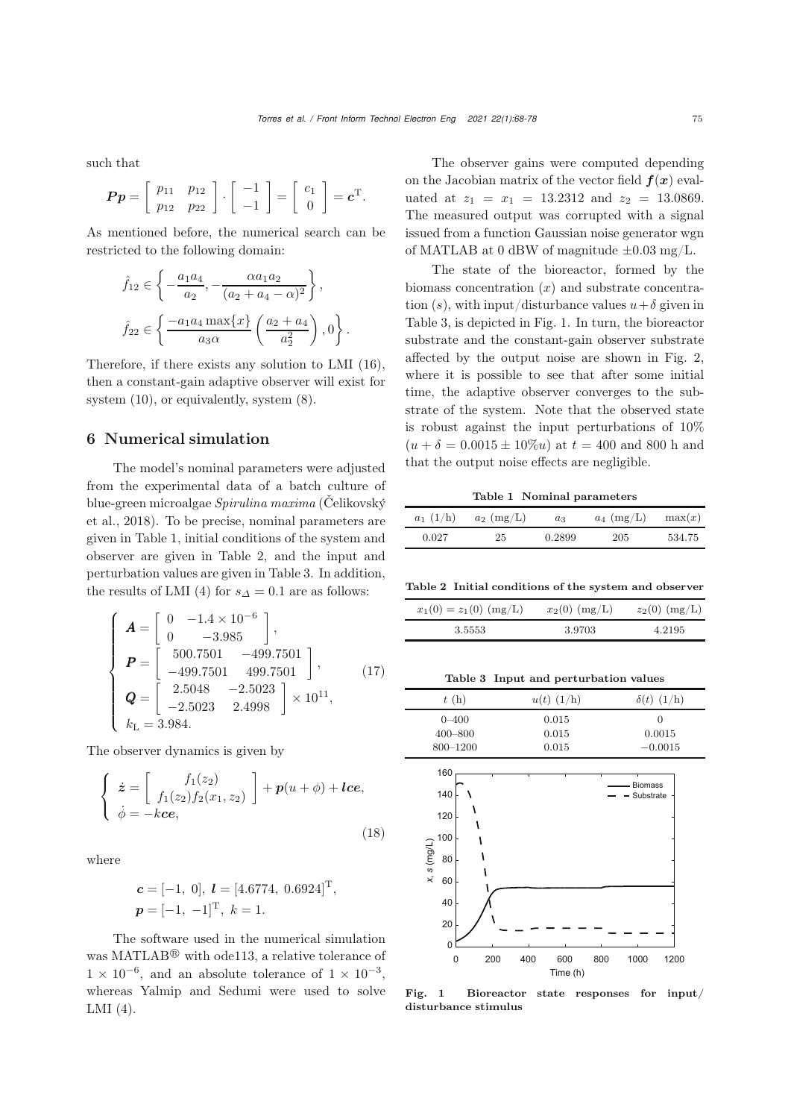such that

$$
\boldsymbol{P}\boldsymbol{p} = \left[ \begin{array}{cc} p_{11} & p_{12} \\ p_{12} & p_{22} \end{array} \right] \cdot \left[ \begin{array}{c} -1 \\ -1 \end{array} \right] = \left[ \begin{array}{c} c_1 \\ 0 \end{array} \right] = \boldsymbol{c}^{\mathrm{T}}.
$$

As mentioned before, the numerical search can be restricted to the following domain:

$$
\hat{f}_{12} \in \left\{ -\frac{a_1 a_4}{a_2}, -\frac{\alpha a_1 a_2}{(a_2 + a_4 - \alpha)^2} \right\},\
$$

$$
\hat{f}_{22} \in \left\{ \frac{-a_1 a_4 \max\{x\}}{a_3 \alpha} \left( \frac{a_2 + a_4}{a_2^2} \right), 0 \right\}.
$$

Therefore, if there exists any solution to LMI [\(16\)](#page-6-1), then a constant-gain adaptive observer will exist for system [\(10\)](#page-6-0), or equivalently, system [\(8\)](#page-5-0).

#### 6 Numerical simulation

The model's nominal parameters were adjusted from the experimental data of a batch culture of blue-green microalgae *[Spirulina](#page-9-13) [maxima](#page-9-13)* (Čelikovský et al., [2018](#page-9-13)). To be precise, nominal parameters are given in Table 1, initial conditions of the system and observer are given in Table 2, and the input and perturbation values are given in Table 3. In addition, the results of LMI [\(4\)](#page-3-2) for  $s_{\Delta} = 0.1$  are as follows:

$$
\begin{cases}\n\mathbf{A} = \begin{bmatrix}\n0 & -1.4 \times 10^{-6} \\
0 & -3.985\n\end{bmatrix}, \\
\mathbf{P} = \begin{bmatrix}\n500.7501 & -499.7501 \\
-499.7501 & 499.7501\n\end{bmatrix}, \\
\mathbf{Q} = \begin{bmatrix}\n2.5048 & -2.5023 \\
-2.5023 & 2.4998\n\end{bmatrix} \times 10^{11}, \\
k_{\text{L}} = 3.984.\n\end{cases}
$$
\n(17)

The observer dynamics is given by

$$
\begin{cases}\n\dot{z} = \begin{bmatrix} f_1(z_2) \\ f_1(z_2)f_2(x_1, z_2) \end{bmatrix} + p(u + \phi) + lce, \\
\dot{\phi} = -kce,\n\end{cases}
$$
\n(18)

where

$$
\mathbf{c} = [-1, 0], \mathbf{l} = [4.6774, 0.6924]^{\mathrm{T}},
$$
  

$$
\mathbf{p} = [-1, -1]^{\mathrm{T}}, \ k = 1.
$$

The software used in the numerical simulation was MATLAB<sup>®</sup> with ode113, a relative tolerance of  $1 \times 10^{-6}$ , and an absolute tolerance of  $1 \times 10^{-3}$ , whereas Yalmip and Sedumi were used to solve LMI [\(4\)](#page-3-2).

The observer gains were computed depending on the Jacobian matrix of the vector field  $f(x)$  evaluated at  $z_1 = x_1 = 13.2312$  and  $z_2 = 13.0869$ . The measured output was corrupted with a signal issued from a function Gaussian noise generator wgn of MATLAB at 0 dBW of magnitude  $\pm 0.03$  mg/L.

The state of the bioreactor, formed by the biomass concentration  $(x)$  and substrate concentration (s), with input/disturbance values  $u+\delta$  given in Table 3, is depicted in Fig. [1.](#page-7-0) In turn, the bioreactor substrate and the constant-gain observer substrate affected by the output noise are shown in Fig. [2,](#page-8-0) where it is possible to see that after some initial time, the adaptive observer converges to the substrate of the system. Note that the observed state is robust against the input perturbations of 10%  $(u + \delta = 0.0015 \pm 10\%)$  at  $t = 400$  and 800 h and that the output noise effects are negligible.

Table 1 Nominal parameters

| $a_1$ (1/h) | $a_2$ (mg/L) | $a_3$  | $a_4$ (mg/L) | max(x) |
|-------------|--------------|--------|--------------|--------|
| 0.027       | 25           | 0.2899 | 205          | 534.75 |

Table 2 Initial conditions of the system and observer

| $x_1(0) = z_1(0)$ (mg/L) | $x_2(0)$ (mg/L) | $z_2(0)$ (mg/L) |
|--------------------------|-----------------|-----------------|
| 3.5553                   | 3.9703          | 4.2195          |

Table 3 Input and perturbation values

| t(h)         | $u(t)$ (1/h) | $\delta(t)$ (1/h) |
|--------------|--------------|-------------------|
| $0 - 400$    | 0.015        | $\left( \right)$  |
| $400 - 800$  | 0.015        | 0.0015            |
| $800 - 1200$ | 0.015        | $-0.0015$         |



<span id="page-7-0"></span>Fig. 1 Bioreactor state responses for input/ disturbance stimulus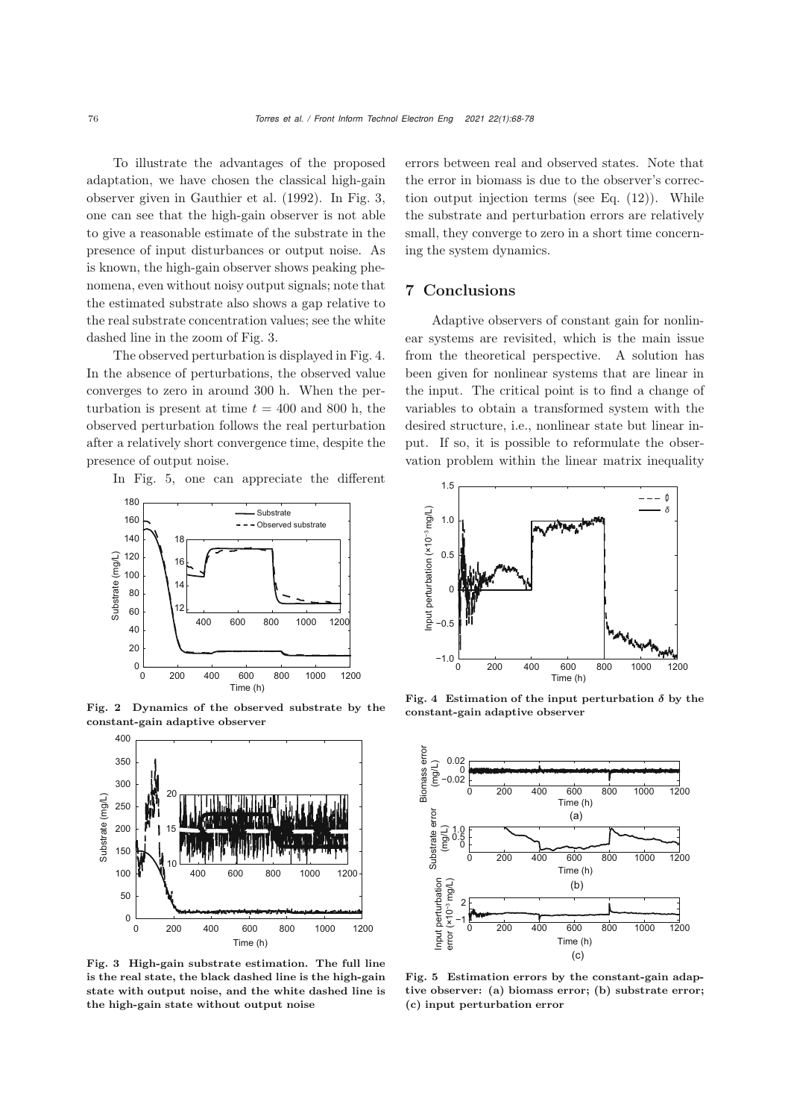To illustrate the advantages of the proposed adaptation, we have chosen the classical high-gain observer given in [Gauthier et al.](#page-9-6) [\(1992](#page-9-6)). In Fig. [3,](#page-8-1) one can see that the high-gain observer is not able to give a reasonable estimate of the substrate in the presence of input disturbances or output noise. As is known, the high-gain observer shows peaking phenomena, even without noisy output signals; note that the estimated substrate also shows a gap relative to the real substrate concentration values; see the white dashed line in the zoom of Fig. [3.](#page-8-1)

The observed perturbation is displayed in Fig. [4.](#page-8-2) In the absence of perturbations, the observed value converges to zero in around 300 h. When the perturbation is present at time  $t = 400$  and 800 h, the observed perturbation follows the real perturbation after a relatively short convergence time, despite the presence of output noise.

In Fig. [5,](#page-8-3) one can appreciate the different



Fig. 2 Dynamics of the observed substrate by the constant-gain adaptive observer

<span id="page-8-0"></span>

<span id="page-8-1"></span>Fig. 3 High-gain substrate estimation. The full line is the real state, the black dashed line is the high-gain state with output noise, and the white dashed line is the high-gain state without output noise

errors between real and observed states. Note that the error in biomass is due to the observer's correction output injection terms (see Eq.  $(12)$ ). While the substrate and perturbation errors are relatively small, they converge to zero in a short time concerning the system dynamics.

### 7 Conclusions

Adaptive observers of constant gain for nonlinear systems are revisited, which is the main issue from the theoretical perspective. A solution has been given for nonlinear systems that are linear in the input. The critical point is to find a change of variables to obtain a transformed system with the desired structure, i.e., nonlinear state but linear input. If so, it is possible to reformulate the observation problem within the linear matrix inequality



<span id="page-8-2"></span>Fig. 4 Estimation of the input perturbation  $\delta$  by the constant-gain adaptive observer



<span id="page-8-3"></span>Fig. 5 Estimation errors by the constant-gain adaptive observer: (a) biomass error; (b) substrate error; (c) input perturbation error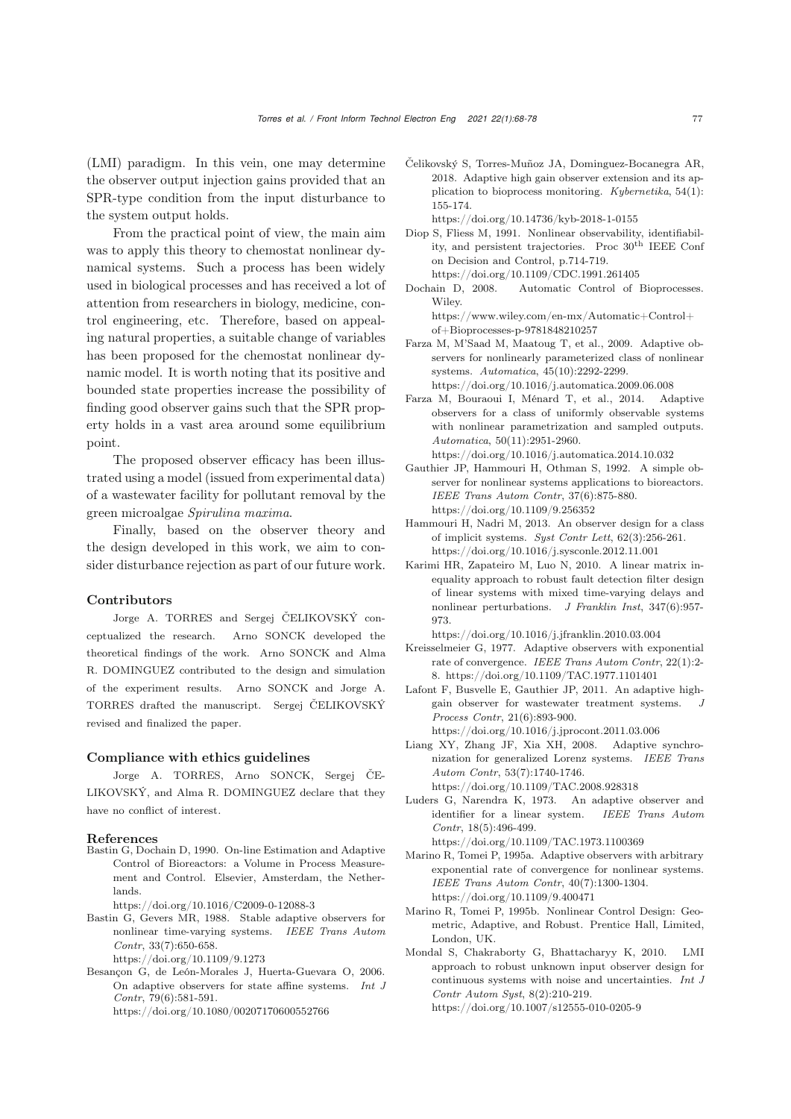(LMI) paradigm. In this vein, one may determine the observer output injection gains provided that an SPR-type condition from the input disturbance to the system output holds.

From the practical point of view, the main aim was to apply this theory to chemostat nonlinear dynamical systems. Such a process has been widely used in biological processes and has received a lot of attention from researchers in biology, medicine, control engineering, etc. Therefore, based on appealing natural properties, a suitable change of variables has been proposed for the chemostat nonlinear dynamic model. It is worth noting that its positive and bounded state properties increase the possibility of finding good observer gains such that the SPR property holds in a vast area around some equilibrium point.

The proposed observer efficacy has been illustrated using a model (issued from experimental data) of a wastewater facility for pollutant removal by the green microalgae *Spirulina maxima*.

Finally, based on the observer theory and the design developed in this work, we aim to consider disturbance rejection as part of our future work.

#### Contributors

Jorge A. TORRES and Sergej ČELIKOVSKÝ conceptualized the research. Arno SONCK developed the theoretical findings of the work. Arno SONCK and Alma R. DOMINGUEZ contributed to the design and simulation of the experiment results. Arno SONCK and Jorge A. TORRES drafted the manuscript. Sergej ČELIKOVSKÝ revised and finalized the paper.

#### Compliance with ethics guidelines

Jorge A. TORRES, Arno SONCK, Sergej ČE-LIKOVSKÝ, and Alma R. DOMINGUEZ declare that they have no conflict of interest.

#### References

- <span id="page-9-16"></span>Bastin G, Dochain D, 1990. On-line Estimation and Adaptive Control of Bioreactors: a Volume in Process Measurement and Control. Elsevier, Amsterdam, the Netherlands.
	- https://doi.org/10.1016/C2009-0-12088-3
- <span id="page-9-4"></span>Bastin G, Gevers MR, 1988. Stable adaptive observers for nonlinear time-varying systems. *IEEE Trans Autom Contr*, 33(7):650-658.

https://doi.org/10.1109/9.1273

- <span id="page-9-2"></span>Besançon G, de León-Morales J, Huerta-Guevara O, 2006. On adaptive observers for state affine systems. *Int J Contr*, 79(6):581-591. https://doi.org/10.1080/00207170600552766
	-

<span id="page-9-13"></span>Čelikovský S, Torres-Muñoz JA, Dominguez-Bocanegra AR, 2018. Adaptive high gain observer extension and its application to bioprocess monitoring. *Kybernetika*, 54(1): 155-174.

https://doi.org/10.14736/kyb-2018-1-0155

- <span id="page-9-5"></span>Diop S, Fliess M, 1991. Nonlinear observability, identifiability, and persistent trajectories. Proc 30th IEEE Conf on Decision and Control, p.714-719. https://doi.org/10.1109/CDC.1991.261405
- <span id="page-9-17"></span>Dochain D, 2008. Automatic Control of Bioprocesses. Wiley.

https://www.wiley.com/en-mx/Automatic+Control+ of+Bioprocesses-p-9781848210257

<span id="page-9-11"></span>Farza M, M'Saad M, Maatoug T, et al., 2009. Adaptive observers for nonlinearly parameterized class of nonlinear systems. *Automatica*, 45(10):2292-2299. https://doi.org/10.1016/j.automatica.2009.06.008

<span id="page-9-10"></span>Farza M, Bouraoui I, Ménard T, et al., 2014. Adaptive observers for a class of uniformly observable systems with nonlinear parametrization and sampled outputs. *Automatica*, 50(11):2951-2960.

https://doi.org/10.1016/j.automatica.2014.10.032

- <span id="page-9-6"></span>Gauthier JP, Hammouri H, Othman S, 1992. A simple observer for nonlinear systems applications to bioreactors. *IEEE Trans Autom Contr*, 37(6):875-880. https://doi.org/10.1109/9.256352
- <span id="page-9-15"></span>Hammouri H, Nadri M, 2013. An observer design for a class of implicit systems. *Syst Contr Lett*, 62(3):256-261. https://doi.org/10.1016/j.sysconle.2012.11.001
- <span id="page-9-9"></span>Karimi HR, Zapateiro M, Luo N, 2010. A linear matrix inequality approach to robust fault detection filter design of linear systems with mixed time-varying delays and nonlinear perturbations. *J Franklin Inst*, 347(6):957- 973.

https://doi.org/10.1016/j.jfranklin.2010.03.004

- <span id="page-9-1"></span>Kreisselmeier G, 1977. Adaptive observers with exponential rate of convergence. *IEEE Trans Autom Contr*, 22(1):2- 8. https://doi.org/10.1109/TAC.1977.1101401
- <span id="page-9-12"></span>Lafont F, Busvelle E, Gauthier JP, 2011. An adaptive highgain observer for wastewater treatment systems. *Process Contr*, 21(6):893-900. https://doi.org/10.1016/j.jprocont.2011.03.006
- <span id="page-9-3"></span>Liang XY, Zhang JF, Xia XH, 2008. Adaptive synchronization for generalized Lorenz systems. *IEEE Trans Autom Contr*, 53(7):1740-1746. https://doi.org/10.1109/TAC.2008.928318
- <span id="page-9-0"></span>Luders G, Narendra K, 1973. An adaptive observer and identifier for a linear system. *IEEE Trans Autom Contr*, 18(5):496-499.

https://doi.org/10.1109/TAC.1973.1100369

- <span id="page-9-7"></span>Marino R, Tomei P, 1995a. Adaptive observers with arbitrary exponential rate of convergence for nonlinear systems. *IEEE Trans Autom Contr*, 40(7):1300-1304. https://doi.org/10.1109/9.400471
- <span id="page-9-8"></span>Marino R, Tomei P, 1995b. Nonlinear Control Design: Geometric, Adaptive, and Robust. Prentice Hall, Limited, London, UK.
- <span id="page-9-14"></span>Mondal S, Chakraborty G, Bhattacharyy K, 2010. LMI approach to robust unknown input observer design for continuous systems with noise and uncertainties. *Int J Contr Autom Syst*, 8(2):210-219. https://doi.org/10.1007/s12555-010-0205-9